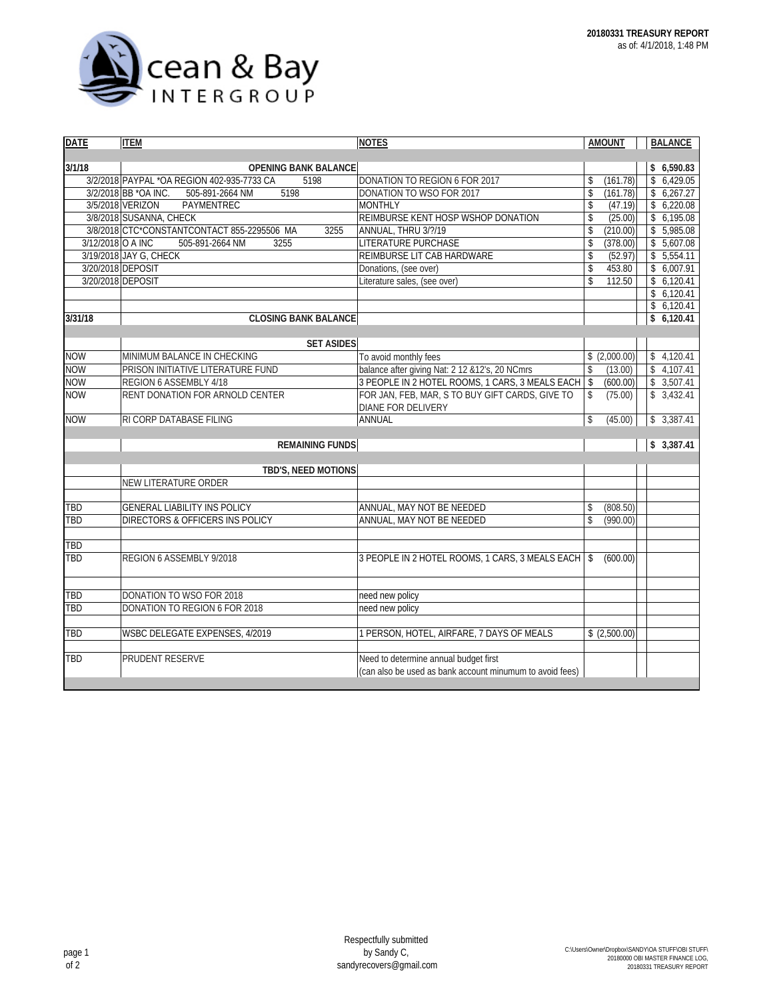

| <b>DATE</b>       | <b>ITEM</b>                                         | <b>NOTES</b>                                             | <b>AMOUNT</b>             | <b>BALANCE</b> |  |  |  |  |
|-------------------|-----------------------------------------------------|----------------------------------------------------------|---------------------------|----------------|--|--|--|--|
|                   |                                                     |                                                          |                           |                |  |  |  |  |
| 3/1/18            | <b>OPENING BANK BALANCE</b>                         |                                                          |                           | \$6,590.83     |  |  |  |  |
|                   | 3/2/2018 PAYPAL *OA REGION 402-935-7733 CA<br>5198  | DONATION TO REGION 6 FOR 2017                            | (161.78)<br>\$            | \$6,429.05     |  |  |  |  |
|                   | 3/2/2018 BB *OA INC.<br>505-891-2664 NM<br>5198     | DONATION TO WSO FOR 2017                                 | \$<br>(161.78)            | \$6,267.27     |  |  |  |  |
|                   | 3/5/2018 VERIZON<br>PAYMENTREC                      | <b>MONTHLY</b>                                           | \$<br>(47.19)             | \$6,220.08     |  |  |  |  |
|                   | 3/8/2018 SUSANNA, CHECK                             | REIMBURSE KENT HOSP WSHOP DONATION                       | \$<br>(25.00)             | \$6,195.08     |  |  |  |  |
|                   | 3/8/2018 CTC*CONSTANTCONTACT 855-2295506 MA<br>3255 | ANNUAL, THRU 3/?/19                                      | \$<br>(210.00)            | \$5,985.08     |  |  |  |  |
| 3/12/2018 O A INC | 505-891-2664 NM<br>3255                             | <b>LITERATURE PURCHASE</b>                               | \$<br>(378.00)            | \$5,607.08     |  |  |  |  |
|                   | 3/19/2018 JAY G, CHECK                              | REIMBURSE LIT CAB HARDWARE                               | \$<br>(52.97)             | \$5,554.11     |  |  |  |  |
|                   | 3/20/2018 DEPOSIT                                   | Donations, (see over)                                    | \$<br>453.80              | \$6,007.91     |  |  |  |  |
|                   | 3/20/2018 DEPOSIT                                   | Literature sales, (see over)                             | $\mathsf{\$}$<br>112.50   | \$6,120.41     |  |  |  |  |
|                   |                                                     |                                                          |                           | \$6,120.41     |  |  |  |  |
|                   |                                                     |                                                          |                           | \$6,120.41     |  |  |  |  |
| 3/31/18           | <b>CLOSING BANK BALANCE</b>                         |                                                          |                           | \$6,120.41     |  |  |  |  |
|                   |                                                     |                                                          |                           |                |  |  |  |  |
|                   | <b>SET ASIDES</b>                                   |                                                          |                           |                |  |  |  |  |
| <b>NOW</b>        | MINIMUM BALANCE IN CHECKING                         | To avoid monthly fees                                    | \$(2,000.00)              | \$4,120.41     |  |  |  |  |
| <b>NOW</b>        | PRISON INITIATIVE LITERATURE FUND                   | balance after giving Nat: 2 12 & 12's, 20 NCmrs          | \$<br>(13.00)             | \$4,107.41     |  |  |  |  |
| <b>NOW</b>        | REGION 6 ASSEMBLY 4/18                              | 3 PEOPLE IN 2 HOTEL ROOMS, 1 CARS, 3 MEALS EACH          | $\sqrt{2}$<br>(600.00)    | \$3,507.41     |  |  |  |  |
| <b>NOW</b>        | RENT DONATION FOR ARNOLD CENTER                     | FOR JAN, FEB, MAR, S TO BUY GIFT CARDS, GIVE TO          | (75.00)<br>\$             | \$3,432.41     |  |  |  |  |
|                   |                                                     | DIANE FOR DELIVERY                                       |                           |                |  |  |  |  |
| <b>NOW</b>        | RI CORP DATABASE FILING                             | ANNUAL                                                   | \$<br>(45.00)             | \$3,387.41     |  |  |  |  |
|                   | <b>REMAINING FUNDS</b>                              |                                                          | \$3,387.41                |                |  |  |  |  |
|                   |                                                     |                                                          |                           |                |  |  |  |  |
|                   | TBD'S, NEED MOTIONS                                 |                                                          |                           |                |  |  |  |  |
|                   | NEW LITERATURE ORDER                                |                                                          |                           |                |  |  |  |  |
|                   |                                                     |                                                          |                           |                |  |  |  |  |
| TBD               | <b>GENERAL LIABILITY INS POLICY</b>                 | ANNUAL, MAY NOT BE NEEDED                                | (808.50)<br>\$            |                |  |  |  |  |
| TBD               | DIRECTORS & OFFICERS INS POLICY                     | ANNUAL, MAY NOT BE NEEDED                                | $\mathsf{\$}$<br>(990.00) |                |  |  |  |  |
|                   |                                                     |                                                          |                           |                |  |  |  |  |
| TBD               |                                                     |                                                          |                           |                |  |  |  |  |
| TBD               | REGION 6 ASSEMBLY 9/2018                            | 3 PEOPLE IN 2 HOTEL ROOMS, 1 CARS, 3 MEALS EACH          | (600.00)<br>$\mathsf{\$}$ |                |  |  |  |  |
|                   |                                                     |                                                          |                           |                |  |  |  |  |
| TBD               | DONATION TO WSO FOR 2018                            | need new policy                                          |                           |                |  |  |  |  |
| TBD               | DONATION TO REGION 6 FOR 2018                       | need new policy                                          |                           |                |  |  |  |  |
|                   |                                                     |                                                          |                           |                |  |  |  |  |
| TBD               | WSBC DELEGATE EXPENSES, 4/2019                      | 1 PERSON, HOTEL, AIRFARE, 7 DAYS OF MEALS                | \$(2,500.00)              |                |  |  |  |  |
| TBD               | PRUDENT RESERVE                                     | Need to determine annual budget first                    |                           |                |  |  |  |  |
|                   |                                                     | (can also be used as bank account minumum to avoid fees) |                           |                |  |  |  |  |
|                   |                                                     |                                                          |                           |                |  |  |  |  |